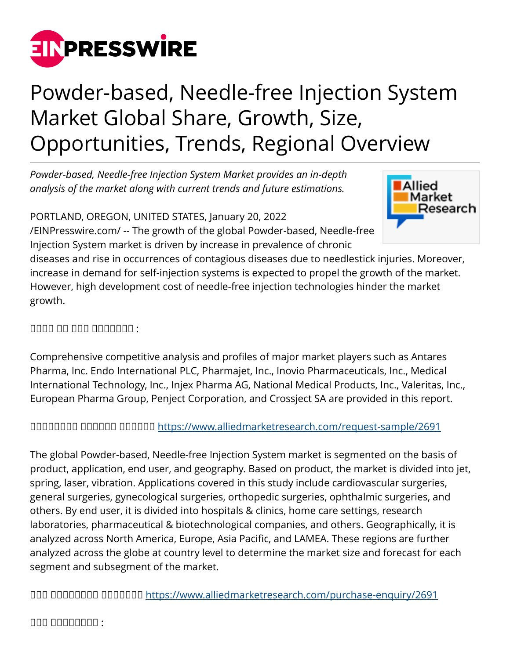

## Powder-based, Needle-free Injection System Market Global Share, Growth, Size, Opportunities, Trends, Regional Overview

*Powder-based, Needle-free Injection System Market provides an in-depth analysis of the market along with current trends and future estimations.*

PORTLAND, OREGON, UNITED STATES, January 20, 2022

[/EINPresswire.com/](http://www.einpresswire.com) -- The growth of the global Powder-based, Needle-free Injection System market is driven by increase in prevalence of chronic



diseases and rise in occurrences of contagious diseases due to needlestick injuries. Moreover, increase in demand for self-injection systems is expected to propel the growth of the market. However, high development cost of needle-free injection technologies hinder the market growth.

## $\Box$

Comprehensive competitive analysis and profiles of major market players such as Antares Pharma, Inc. Endo International PLC, Pharmajet, Inc., Inovio Pharmaceuticals, Inc., Medical International Technology, Inc., Injex Pharma AG, National Medical Products, Inc., Valeritas, Inc., European Pharma Group, Penject Corporation, and Crossject SA are provided in this report.

ᵀᵂᵃᵂᵂᵂᵁᵁ ᵁᵁᵂᵂᵂᵁ ᵁᵁᵂᵂᵂᵂ<https://www.alliedmarketresearch.com/request-sample/2691>

The global Powder-based, Needle-free Injection System market is segmented on the basis of product, application, end user, and geography. Based on product, the market is divided into jet, spring, laser, vibration. Applications covered in this study include cardiovascular surgeries, general surgeries, gynecological surgeries, orthopedic surgeries, ophthalmic surgeries, and others. By end user, it is divided into hospitals & clinics, home care settings, research laboratories, pharmaceutical & biotechnological companies, and others. Geographically, it is analyzed across North America, Europe, Asia Pacific, and LAMEA. These regions are further analyzed across the globe at country level to determine the market size and forecast for each segment and subsegment of the market.

ᵀᵂᵂ ᵀᵂᵂᵁᵂᵁᵂᵁ ᵀᵂᵂᵂᵂᵂᵃ <https://www.alliedmarketresearch.com/purchase-enquiry/2691>

 $\Box$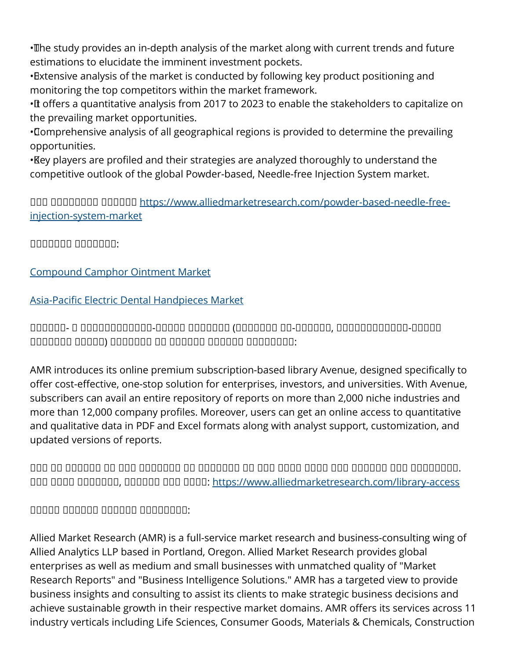• The study provides an in-depth analysis of the market along with current trends and future estimations to elucidate the imminent investment pockets.

• Extensive analysis of the market is conducted by following key product positioning and monitoring the top competitors within the market framework.

• If offers a quantitative analysis from 2017 to 2023 to enable the stakeholders to capitalize on the prevailing market opportunities.

• Comprehensive analysis of all geographical regions is provided to determine the prevailing opportunities.

• Key players are profiled and their strategies are analyzed thoroughly to understand the competitive outlook of the global Powder-based, Needle-free Injection System market.

ᵝᵟᵠ ᵝᵟᵠᵞᵟᵟᵟᵟ ᵁᵁᵂᵂᵂᵂ [https://www.alliedmarketresearch.com/powder-based-needle-free](https://www.alliedmarketresearch.com/powder-based-needle-free-injection-system-market)[injection-system-market](https://www.alliedmarketresearch.com/powder-based-needle-free-injection-system-market)

ᵁᵁᵂᵁᵂᵁᵁ ᵁᵁᵂᵂᵂᵂᵂ:

[Compound Camphor Ointment Market](https://www.alliedmarketresearch.com/compound-camphor-ointment-market)

[Asia-Pacific Electric Dental Handpieces Market](https://www.alliedmarketresearch.com/asia-pacific-electric-dental-handpieces-market)

ᵀᵁᵀᵀᵁᵀ- ᵀ ᵁᵂᵁᵂᵁᵂᵂᵂᵂᵂᵂᵂ-ᵀᵁᵂᵁᵁ ᵀᵂᵁᵂᵁᵂᵃ (ᵀᵂᵁᵂᵂᵂᵂ ᵂᵂ-ᵁᵁᵂᵁᵂᵁ, ᵂᵂᵁᵂᵁᵂᵂᵂᵂᵂᵂᵂ-ᵁᵁᵂᵁᵁ ᵂᵂᵂᵁᵂᵂᵂ ᵂᵂᵁᵁᵂ) ᵀᵁᵁᵁᵂᵁᵁ ᵁᵃ ᵀᵂᵂᵂᵁᵁ ᵀᵁᵂᵂᵁᵂ ᵁᵁᵂᵁᵁᵂᵁᵂ:

AMR introduces its online premium subscription-based library Avenue, designed specifically to offer cost-effective, one-stop solution for enterprises, investors, and universities. With Avenue, subscribers can avail an entire repository of reports on more than 2,000 niche industries and more than 12,000 company profiles. Moreover, users can get an online access to quantitative and qualitative data in PDF and Excel formats along with analyst support, customization, and updated versions of reports.

ᵀᵁᵂ ᵁᵂ ᵁᵁᵁᵁᵂᵂ ᵂᵂ ᵂᵂᵁ ᵂᵂᵁᵂᵁᵂᵃ ᵂᵁ ᵂᵁᵂᵂᵂᵂᵂ ᵁᵂ ᵁᵂᵃ ᵂᵂᵂᵁ ᵁᵂᵂᵂ ᵁᵂᵃ ᵁᵁᵂᵂᵁᵁ ᵁᵂᵁ ᵁᵂᵃᵃᵂᵁᵂᵁ. ᵀᵂᵂ ᵂᵂᵂᵁ ᵁᵁᵂᵁᵂᵂᵂ, ᵁᵂᵂᵂᵂᵃ ᵂᵂᵁ ᵂᵂᵂᵂ:<https://www.alliedmarketresearch.com/library-access>

 $\Box$ 

Allied Market Research (AMR) is a full-service market research and business-consulting wing of Allied Analytics LLP based in Portland, Oregon. Allied Market Research provides global enterprises as well as medium and small businesses with unmatched quality of "Market Research Reports" and "Business Intelligence Solutions." AMR has a targeted view to provide business insights and consulting to assist its clients to make strategic business decisions and achieve sustainable growth in their respective market domains. AMR offers its services across 11 industry verticals including Life Sciences, Consumer Goods, Materials & Chemicals, Construction